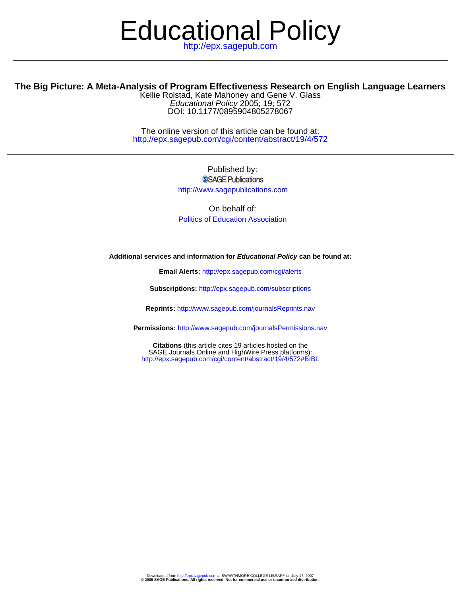# Educational Policy

## **The Big Picture: A Meta-Analysis of Program Effectiveness Research on English Language Learners**

DOI: 10.1177/0895904805278067 Educational Policy 2005; 19; 572 Kellie Rolstad, Kate Mahoney and Gene V. Glass

http://epx.sagepub.com/cgi/content/abstract/19/4/572 The online version of this article can be found at:

> Published by: SSAGE Publications http://www.sagepublications.com

On behalf of: [Politics of Education Association](http://www.fsu.edu/~pea/)

**Additional services and information for Educational Policy can be found at:**

**Email Alerts:** <http://epx.sagepub.com/cgi/alerts>

**Subscriptions:** <http://epx.sagepub.com/subscriptions>

**Reprints:** <http://www.sagepub.com/journalsReprints.nav>

**Permissions:** <http://www.sagepub.com/journalsPermissions.nav>

<http://epx.sagepub.com/cgi/content/abstract/19/4/572#BIBL> SAGE Journals Online and HighWire Press platforms): **Citations** (this article cites 19 articles hosted on the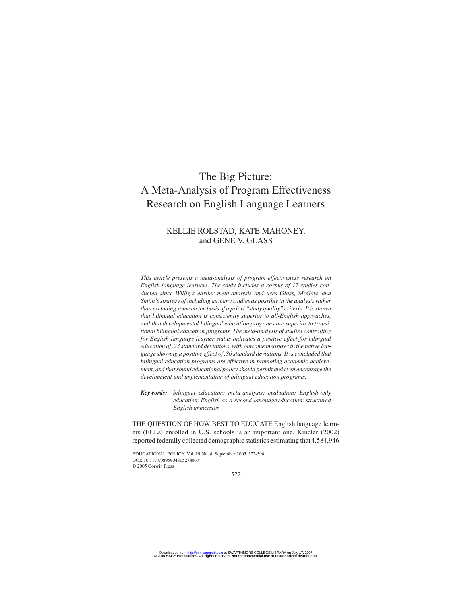# The Big Picture: A Meta-Analysis of Program Effectiveness Research on English Language Learners

## KELLIE ROLSTAD, KATE MAHONEY, and GENE V. GLASS

*This article presents a meta-analysis of program effectiveness research on English language learners. The study includes a corpus of 17 studies conducted since Willig's earlier meta-analysis and uses Glass, McGaw, and Smith's strategy of including as many studies as possible in the analysis rather than excluding some on the basis of a priori "study quality" criteria. It isshown that bilingual education is consistently superior to all-English approaches, and that developmental bilingual education programs are superior to transitional bilingual education programs. The meta-analysis of studies controlling for English-language-learner status indicates a positive effect for bilingual education of .23 standard deviations, with outcome measures in the native language showing a positive effect of .86 standard deviations. It is concluded that bilingual education programs are effective in promoting academic achievement, and that sound educational policy should permit and even encourage the development and implementation of bilingual education programs.*

*Keywords: bilingual education; meta-analysis; evaluation; English-only education; English-as-a-second-language education; structured English immersion*

THE QUESTION OF HOW BEST TO EDUCATE English language learners (ELLs) enrolled in U.S. schools is an important one. Kindler (2002) reported federally collected demographic statistics estimating that 4,584,946

EDUCATIONAL POLICY, Vol. 19 No. 4, September 2005 572-594 DOI: 10.1177/0895904805278067 © 2005 Corwin Press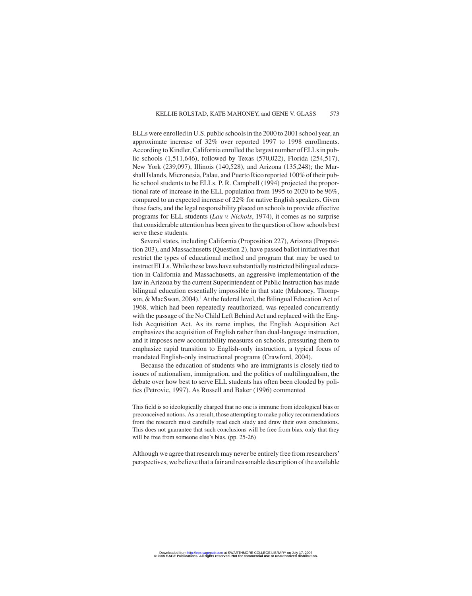ELLs were enrolled in U.S. public schools in the 2000 to 2001 school year, an approximate increase of 32% over reported 1997 to 1998 enrollments. According to Kindler, California enrolled the largest number of ELLs in public schools (1,511,646), followed by Texas (570,022), Florida (254,517), New York (239,097), Illinois (140,528), and Arizona (135,248); the Marshall Islands, Micronesia, Palau, and Puerto Rico reported 100% of their public school students to be ELLs. P. R. Campbell (1994) projected the proportional rate of increase in the ELL population from 1995 to 2020 to be 96%, compared to an expected increase of 22% for native English speakers. Given these facts, and the legal responsibility placed on schools to provide effective programs for ELL students (*Lau v. Nichols*, 1974), it comes as no surprise that considerable attention has been given to the question of how schools best serve these students.

Several states, including California (Proposition 227), Arizona (Proposition 203), and Massachusetts (Question 2), have passed ballot initiatives that restrict the types of educational method and program that may be used to instruct ELLs. While these laws have substantially restricted bilingual education in California and Massachusetts, an aggressive implementation of the law in Arizona by the current Superintendent of Public Instruction has made bilingual education essentially impossible in that state (Mahoney, Thompson,  $& MacSwan, 2004$ .<sup>1</sup> At the federal level, the Bilingual Education Act of 1968, which had been repeatedly reauthorized, was repealed concurrently with the passage of the No Child Left Behind Act and replaced with the English Acquisition Act. As its name implies, the English Acquisition Act emphasizes the acquisition of English rather than dual-language instruction, and it imposes new accountability measures on schools, pressuring them to emphasize rapid transition to English-only instruction, a typical focus of mandated English-only instructional programs (Crawford, 2004).

Because the education of students who are immigrants is closely tied to issues of nationalism, immigration, and the politics of multilingualism, the debate over how best to serve ELL students has often been clouded by politics (Petrovic, 1997). As Rossell and Baker (1996) commented

This field is so ideologically charged that no one is immune from ideological bias or preconceived notions. As a result, those attempting to make policy recommendations from the research must carefully read each study and draw their own conclusions. This does not guarantee that such conclusions will be free from bias, only that they will be free from someone else's bias. (pp. 25-26)

Although we agree that research may never be entirely free from researchers' perspectives, we believe that a fair and reasonable description of the available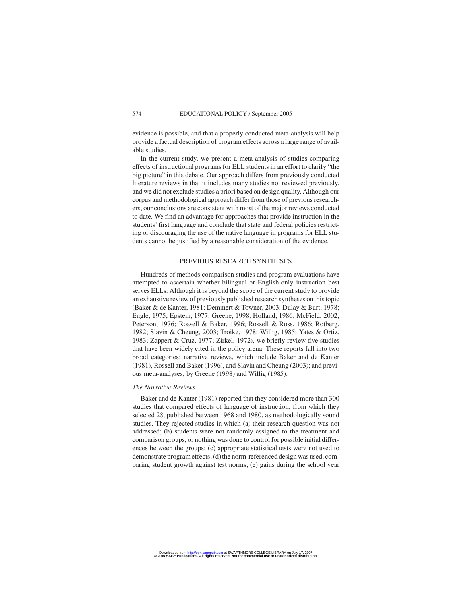evidence is possible, and that a properly conducted meta-analysis will help provide a factual description of program effects across a large range of available studies.

In the current study, we present a meta-analysis of studies comparing effects of instructional programs for ELL students in an effort to clarify "the big picture" in this debate. Our approach differs from previously conducted literature reviews in that it includes many studies not reviewed previously, and we did not exclude studies a priori based on design quality. Although our corpus and methodological approach differ from those of previous researchers, our conclusions are consistent with most of the major reviews conducted to date. We find an advantage for approaches that provide instruction in the students' first language and conclude that state and federal policies restricting or discouraging the use of the native language in programs for ELL students cannot be justified by a reasonable consideration of the evidence.

#### PREVIOUS RESEARCH SYNTHESES

Hundreds of methods comparison studies and program evaluations have attempted to ascertain whether bilingual or English-only instruction best serves ELLs. Although it is beyond the scope of the current study to provide an exhaustive review of previously published research syntheses on this topic (Baker & de Kanter, 1981; Demmert & Towner, 2003; Dulay & Burt, 1978; Engle, 1975; Epstein, 1977; Greene, 1998; Holland, 1986; McField, 2002; Peterson, 1976; Rossell & Baker, 1996; Rossell & Ross, 1986; Rotberg, 1982; Slavin & Cheung, 2003; Troike, 1978; Willig, 1985; Yates & Ortiz, 1983; Zappert & Cruz, 1977; Zirkel, 1972), we briefly review five studies that have been widely cited in the policy arena. These reports fall into two broad categories: narrative reviews, which include Baker and de Kanter (1981), Rossell and Baker (1996), and Slavin and Cheung (2003); and previous meta-analyses, by Greene (1998) and Willig (1985).

#### *The Narrative Reviews*

Baker and de Kanter (1981) reported that they considered more than 300 studies that compared effects of language of instruction, from which they selected 28, published between 1968 and 1980, as methodologically sound studies. They rejected studies in which (a) their research question was not addressed; (b) students were not randomly assigned to the treatment and comparison groups, or nothing was done to control for possible initial differences between the groups; (c) appropriate statistical tests were not used to demonstrate program effects; (d) the norm-referenced design was used, comparing student growth against test norms; (e) gains during the school year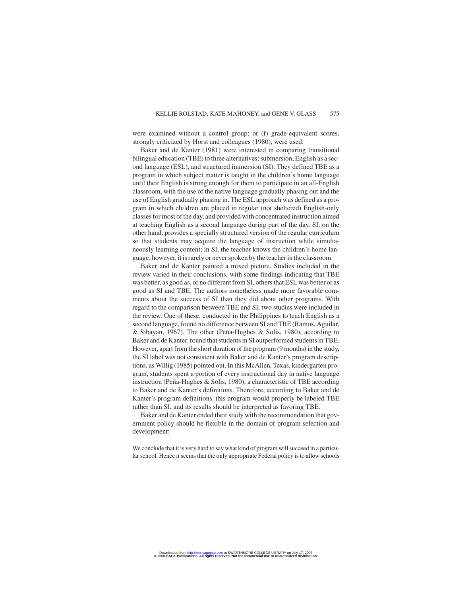were examined without a control group; or (f) grade-equivalent scores, strongly criticized by Horst and colleagues (1980), were used.

Baker and de Kanter (1981) were interested in comparing transitional bilingual education (TBE) to three alternatives: submersion, English as a second language (ESL), and structured immersion (SI). They defined TBE as a program in which subject matter is taught in the children's home language until their English is strong enough for them to participate in an all-English classroom, with the use of the native language gradually phasing out and the use of English gradually phasing in. The ESL approach was defined as a program in which children are placed in regular (not sheltered) English-only classes for most of the day, and provided with concentrated instruction aimed at teaching English as a second language during part of the day. SI, on the other hand, provides a specially structured version of the regular curriculum so that students may acquire the language of instruction while simultaneously learning content; in SI, the teacher knows the children's home language; however, it is rarely or never spoken by the teacher in the classroom.

Baker and de Kanter painted a mixed picture. Studies included in the review varied in their conclusions, with some findings indicating that TBE was better, as good as, or no different from SI, others that ESL was better or as good as SI and TBE. The authors nonetheless made more favorable comments about the success of SI than they did about other programs. With regard to the comparison between TBE and SI, two studies were included in the review. One of these, conducted in the Philippines to teach English as a second language, found no difference between SI and TBE (Ramos, Aguilar, & Sibayan, 1967). The other (Peña-Hughes & Solis, 1980), according to Baker and de Kanter, found that students in SI outperformed students in TBE. However, apart from the short duration of the program (9 months) in the study, the SI label was not consistent with Baker and de Kanter's program descriptions, as Willig (1985) pointed out. In this McAllen, Texas, kindergarten program, students spent a portion of every instructional day in native language instruction (Peña-Hughes & Solis, 1980), a characteristic of TBE according to Baker and de Kanter's definitions. Therefore, according to Baker and de Kanter's program definitions, this program would properly be labeled TBE rather than SI, and its results should be interpreted as favoring TBE.

Baker and de Kanter ended their study with the recommendation that government policy should be flexible in the domain of program selection and development:

We conclude that it is very hard to say what kind of program will succeed in a particular school. Hence it seems that the only appropriate Federal policy is to allow schools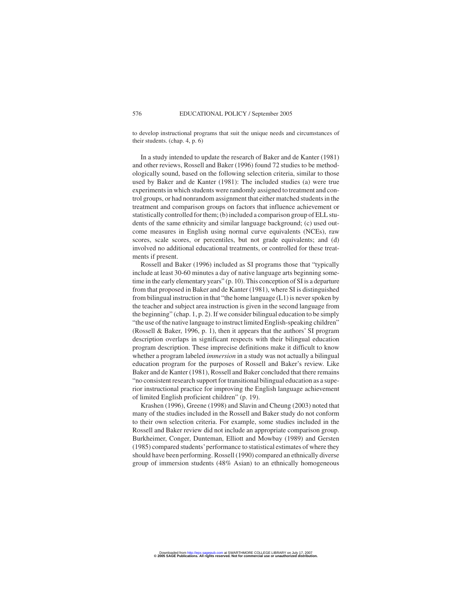to develop instructional programs that suit the unique needs and circumstances of their students. (chap. 4, p. 6)

In a study intended to update the research of Baker and de Kanter (1981) and other reviews, Rossell and Baker (1996) found 72 studies to be methodologically sound, based on the following selection criteria, similar to those used by Baker and de Kanter (1981): The included studies (a) were true experiments in which students were randomly assigned to treatment and control groups, or had nonrandom assignment that either matched students in the treatment and comparison groups on factors that influence achievement or statistically controlled for them; (b) included a comparison group of ELL students of the same ethnicity and similar language background; (c) used outcome measures in English using normal curve equivalents (NCEs), raw scores, scale scores, or percentiles, but not grade equivalents; and (d) involved no additional educational treatments, or controlled for these treatments if present.

Rossell and Baker (1996) included as SI programs those that "typically include at least 30-60 minutes a day of native language arts beginning sometime in the early elementary years" (p. 10). This conception of SI is a departure from that proposed in Baker and de Kanter (1981), where SI is distinguished from bilingual instruction in that "the home language (L1) is never spoken by the teacher and subject area instruction is given in the second language from the beginning" (chap. 1, p. 2). If we consider bilingual education to be simply "the use of the native language to instruct limited English-speaking children" (Rossell & Baker, 1996, p. 1), then it appears that the authors' SI program description overlaps in significant respects with their bilingual education program description. These imprecise definitions make it difficult to know whether a program labeled *immersion* in a study was not actually a bilingual education program for the purposes of Rossell and Baker's review. Like Baker and de Kanter (1981), Rossell and Baker concluded that there remains "no consistent research support for transitional bilingual education as a superior instructional practice for improving the English language achievement of limited English proficient children" (p. 19).

Krashen (1996), Greene (1998) and Slavin and Cheung (2003) noted that many of the studies included in the Rossell and Baker study do not conform to their own selection criteria. For example, some studies included in the Rossell and Baker review did not include an appropriate comparison group. Burkheimer, Conger, Dunteman, Elliott and Mowbay (1989) and Gersten (1985) compared students'performance to statistical estimates of where they should have been performing. Rossell (1990) compared an ethnically diverse group of immersion students (48% Asian) to an ethnically homogeneous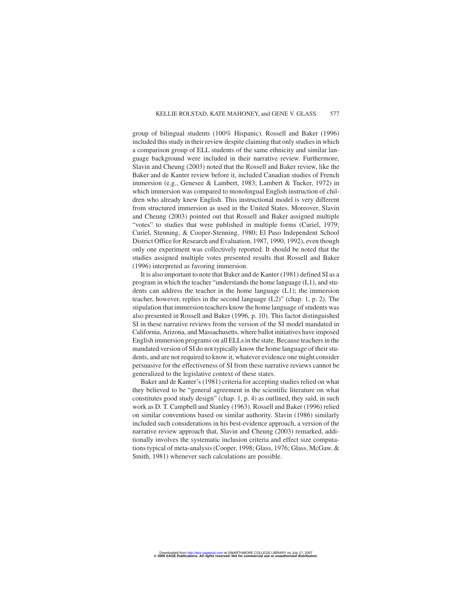group of bilingual students (100% Hispanic). Rossell and Baker (1996) included this study in their review despite claiming that only studies in which a comparison group of ELL students of the same ethnicity and similar language background were included in their narrative review. Furthermore, Slavin and Cheung (2003) noted that the Rossell and Baker review, like the Baker and de Kanter review before it, included Canadian studies of French immersion (e.g., Genesee & Lambert, 1983; Lambert & Tucker, 1972) in which immersion was compared to monolingual English instruction of children who already knew English. This instructional model is very different from structured immersion as used in the United States. Moreover, Slavin and Cheung (2003) pointed out that Rossell and Baker assigned multiple "votes" to studies that were published in multiple forms (Curiel, 1979; Curiel, Stenning, & Cooper-Stenning, 1980; El Paso Independent School District Office for Research and Evaluation, 1987, 1990, 1992), even though only one experiment was collectively reported. It should be noted that the studies assigned multiple votes presented results that Rossell and Baker (1996) interpreted as favoring immersion.

It is also important to note that Baker and de Kanter (1981) defined SI as a program in which the teacher "understands the home language (L1), and students can address the teacher in the home language (L1); the immersion teacher, however, replies in the second language (L2)" (chap. 1, p. 2). The stipulation that immersion teachers know the home language of students was also presented in Rossell and Baker (1996, p. 10). This factor distinguished SI in these narrative reviews from the version of the SI model mandated in California, Arizona, and Massachusetts, where ballot initiatives have imposed English immersion programs on all ELLs in the state. Because teachers in the mandated version of SI do not typically know the home language of their students, and are not required to know it, whatever evidence one might consider persuasive for the effectiveness of SI from these narrative reviews cannot be generalized to the legislative context of these states.

Baker and de Kanter's (1981) criteria for accepting studies relied on what they believed to be "general agreement in the scientific literature on what constitutes good study design" (chap. 1, p. 4) as outlined, they said, in such work as D. T. Campbell and Stanley (1963). Rossell and Baker (1996) relied on similar conventions based on similar authority. Slavin (1986) similarly included such considerations in his best-evidence approach, a version of the narrative review approach that, Slavin and Cheung (2003) remarked, additionally involves the systematic inclusion criteria and effect size computations typical of meta-analysis (Cooper, 1998; Glass, 1976; Glass, McGaw, & Smith, 1981) whenever such calculations are possible.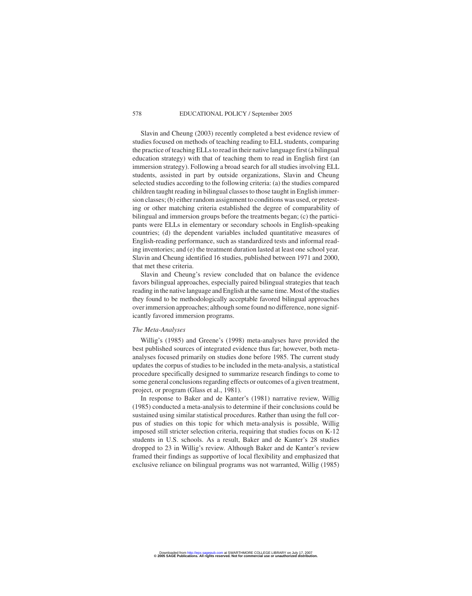Slavin and Cheung (2003) recently completed a best evidence review of studies focused on methods of teaching reading to ELL students, comparing the practice of teaching ELLs to read in their native language first (a bilingual education strategy) with that of teaching them to read in English first (an immersion strategy). Following a broad search for all studies involving ELL students, assisted in part by outside organizations, Slavin and Cheung selected studies according to the following criteria: (a) the studies compared children taught reading in bilingual classes to those taught in English immersion classes; (b) either random assignment to conditions was used, or pretesting or other matching criteria established the degree of comparability of bilingual and immersion groups before the treatments began; (c) the participants were ELLs in elementary or secondary schools in English-speaking countries; (d) the dependent variables included quantitative measures of English-reading performance, such as standardized tests and informal reading inventories; and (e) the treatment duration lasted at least one school year. Slavin and Cheung identified 16 studies, published between 1971 and 2000, that met these criteria.

Slavin and Cheung's review concluded that on balance the evidence favors bilingual approaches, especially paired bilingual strategies that teach reading in the native language and English at the same time. Most of the studies they found to be methodologically acceptable favored bilingual approaches over immersion approaches; although some found no difference, none significantly favored immersion programs.

#### *The Meta-Analyses*

Willig's (1985) and Greene's (1998) meta-analyses have provided the best published sources of integrated evidence thus far; however, both metaanalyses focused primarily on studies done before 1985. The current study updates the corpus of studies to be included in the meta-analysis, a statistical procedure specifically designed to summarize research findings to come to some general conclusions regarding effects or outcomes of a given treatment, project, or program (Glass et al., 1981).

In response to Baker and de Kanter's (1981) narrative review, Willig (1985) conducted a meta-analysis to determine if their conclusions could be sustained using similar statistical procedures. Rather than using the full corpus of studies on this topic for which meta-analysis is possible, Willig imposed still stricter selection criteria, requiring that studies focus on K-12 students in U.S. schools. As a result, Baker and de Kanter's 28 studies dropped to 23 in Willig's review. Although Baker and de Kanter's review framed their findings as supportive of local flexibility and emphasized that exclusive reliance on bilingual programs was not warranted, Willig (1985)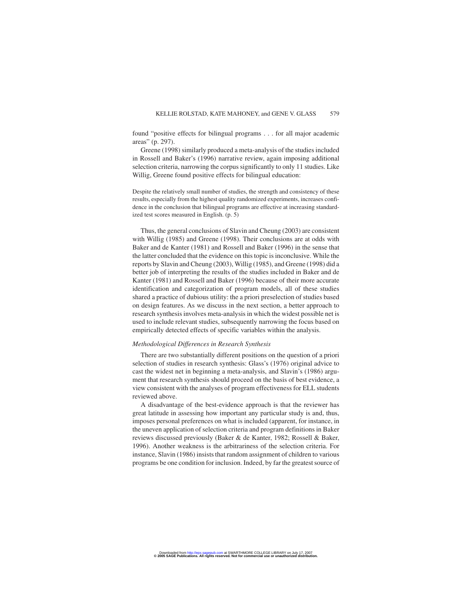found "positive effects for bilingual programs . . . for all major academic areas" (p. 297).

Greene (1998) similarly produced a meta-analysis of the studies included in Rossell and Baker's (1996) narrative review, again imposing additional selection criteria, narrowing the corpus significantly to only 11 studies. Like Willig, Greene found positive effects for bilingual education:

Despite the relatively small number of studies, the strength and consistency of these results, especially from the highest quality randomized experiments, increases confidence in the conclusion that bilingual programs are effective at increasing standardized test scores measured in English. (p. 5)

Thus, the general conclusions of Slavin and Cheung (2003) are consistent with Willig (1985) and Greene (1998). Their conclusions are at odds with Baker and de Kanter (1981) and Rossell and Baker (1996) in the sense that the latter concluded that the evidence on this topic is inconclusive. While the reports by Slavin and Cheung (2003), Willig (1985), and Greene (1998) did a better job of interpreting the results of the studies included in Baker and de Kanter (1981) and Rossell and Baker (1996) because of their more accurate identification and categorization of program models, all of these studies shared a practice of dubious utility: the a priori preselection of studies based on design features. As we discuss in the next section, a better approach to research synthesis involves meta-analysis in which the widest possible net is used to include relevant studies, subsequently narrowing the focus based on empirically detected effects of specific variables within the analysis.

#### *Methodological Differences in Research Synthesis*

There are two substantially different positions on the question of a priori selection of studies in research synthesis: Glass's (1976) original advice to cast the widest net in beginning a meta-analysis, and Slavin's (1986) argument that research synthesis should proceed on the basis of best evidence, a view consistent with the analyses of program effectiveness for ELL students reviewed above.

A disadvantage of the best-evidence approach is that the reviewer has great latitude in assessing how important any particular study is and, thus, imposes personal preferences on what is included (apparent, for instance, in the uneven application of selection criteria and program definitions in Baker reviews discussed previously (Baker & de Kanter, 1982; Rossell & Baker, 1996). Another weakness is the arbitrariness of the selection criteria. For instance, Slavin (1986) insists that random assignment of children to various programs be one condition for inclusion. Indeed, by far the greatest source of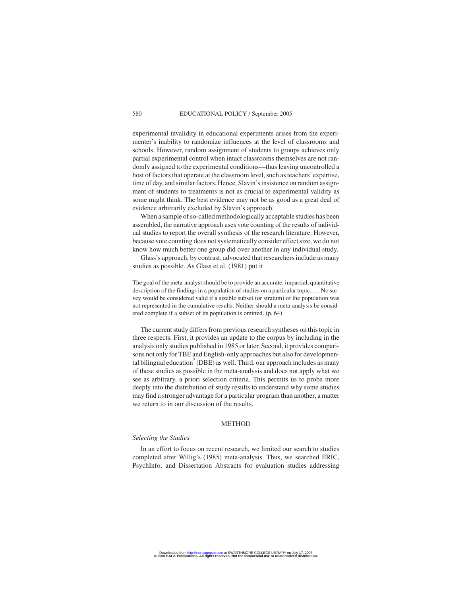experimental invalidity in educational experiments arises from the experimenter's inability to randomize influences at the level of classrooms and schools. However, random assignment of students to groups achieves only partial experimental control when intact classrooms themselves are not randomly assigned to the experimental conditions—thus leaving uncontrolled a host of factors that operate at the classroom level, such as teachers' expertise, time of day, and similar factors. Hence, Slavin's insistence on random assignment of students to treatments is not as crucial to experimental validity as some might think. The best evidence may not be as good as a great deal of evidence arbitrarily excluded by Slavin's approach.

When a sample of so-called methodologically acceptable studies has been assembled, the narrative approach uses vote counting of the results of individual studies to report the overall synthesis of the research literature. However, because vote counting does not systematically consider effect size, we do not know how much better one group did over another in any individual study.

Glass's approach, by contrast, advocated that researchers include as many studies as possible. As Glass et al. (1981) put it

The goal of the meta-analyst should be to provide an accurate, impartial, quantitative description of the findings in a population of studies on a particular topic. . . . No survey would be considered valid if a sizable subset (or stratum) of the population was not represented in the cumulative results. Neither should a meta-analysis be considered complete if a subset of its population is omitted. (p. 64)

The current study differs from previous research syntheses on this topic in three respects. First, it provides an update to the corpus by including in the analysis only studies published in 1985 or later. Second, it provides comparisons not only for TBE and English-only approaches but also for developmental bilingual education $^{2}$  (DBE) as well. Third, our approach includes as many of these studies as possible in the meta-analysis and does not apply what we see as arbitrary, a priori selection criteria. This permits us to probe more deeply into the distribution of study results to understand why some studies may find a stronger advantage for a particular program than another, a matter we return to in our discussion of the results.

#### METHOD

#### *Selecting the Studies*

In an effort to focus on recent research, we limited our search to studies completed after Willig's (1985) meta-analysis. Thus, we searched ERIC, PsychInfo, and Dissertation Abstracts for evaluation studies addressing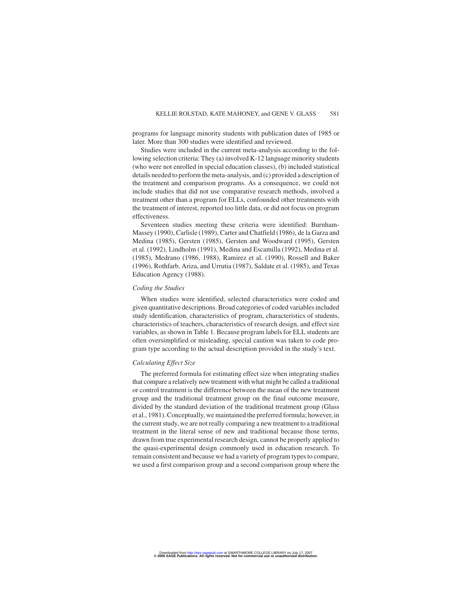programs for language minority students with publication dates of 1985 or later. More than 300 studies were identified and reviewed.

Studies were included in the current meta-analysis according to the following selection criteria: They (a) involved K-12 language minority students (who were not enrolled in special education classes), (b) included statistical details needed to perform the meta-analysis, and (c) provided a description of the treatment and comparison programs. As a consequence, we could not include studies that did not use comparative research methods, involved a treatment other than a program for ELLs, confounded other treatments with the treatment of interest, reported too little data, or did not focus on program effectiveness.

Seventeen studies meeting these criteria were identified: Burnham-Massey (1990), Carlisle (1989), Carter and Chatfield (1986), de la Garza and Medina (1985), Gersten (1985), Gersten and Woodward (1995), Gersten et al. (1992), Lindholm (1991), Medina and Escamilla (1992), Medina et al. (1985), Medrano (1986, 1988), Ramirez et al. (1990), Rossell and Baker (1996), Rothfarb, Ariza, and Urrutia (1987), Saldate et al. (1985), and Texas Education Agency (1988).

#### *Coding the Studies*

When studies were identified, selected characteristics were coded and given quantitative descriptions. Broad categories of coded variables included study identification, characteristics of program, characteristics of students, characteristics of teachers, characteristics of research design, and effect size variables, as shown in Table 1. Because program labels for ELL students are often oversimplified or misleading, special caution was taken to code program type according to the actual description provided in the study's text.

#### *Calculating Effect Size*

The preferred formula for estimating effect size when integrating studies that compare a relatively new treatment with what might be called a traditional or control treatment is the difference between the mean of the new treatment group and the traditional treatment group on the final outcome measure, divided by the standard deviation of the traditional treatment group (Glass et al., 1981). Conceptually, we maintained the preferred formula; however, in the current study, we are not really comparing a new treatment to a traditional treatment in the literal sense of new and traditional because those terms, drawn from true experimental research design, cannot be properly applied to the quasi-experimental design commonly used in education research. To remain consistent and because we had a variety of program types to compare, we used a first comparison group and a second comparison group where the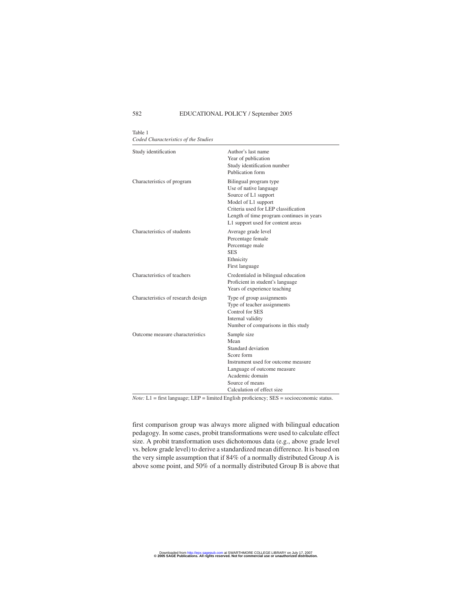#### 582 EDUCATIONAL POLICY / September 2005

Table 1 *Coded Characteristics of the Studies*

| Study identification               | Author's last name<br>Year of publication<br>Study identification number<br>Publication form                                                                                                                              |
|------------------------------------|---------------------------------------------------------------------------------------------------------------------------------------------------------------------------------------------------------------------------|
| Characteristics of program         | Bilingual program type<br>Use of native language<br>Source of L1 support<br>Model of L1 support<br>Criteria used for LEP classification<br>Length of time program continues in years<br>L1 support used for content areas |
| Characteristics of students        | Average grade level<br>Percentage female<br>Percentage male<br><b>SES</b><br>Ethnicity<br>First language                                                                                                                  |
| Characteristics of teachers        | Credentialed in bilingual education<br>Proficient in student's language<br>Years of experience teaching                                                                                                                   |
| Characteristics of research design | Type of group assignments<br>Type of teacher assignments<br>Control for SES<br>Internal validity<br>Number of comparisons in this study                                                                                   |
| Outcome measure characteristics    | Sample size<br>Mean<br>Standard deviation<br>Score form<br>Instrument used for outcome measure<br>Language of outcome measure<br>Academic domain<br>Source of means<br>Calculation of effect size                         |

*Note:* L1 = first language; LEP = limited English proficiency; SES = socioeconomic status.

first comparison group was always more aligned with bilingual education pedagogy. In some cases, probit transformations were used to calculate effect size. A probit transformation uses dichotomous data (e.g., above grade level vs. below grade level) to derive a standardized mean difference. It is based on the very simple assumption that if 84% of a normally distributed Group A is above some point, and 50% of a normally distributed Group B is above that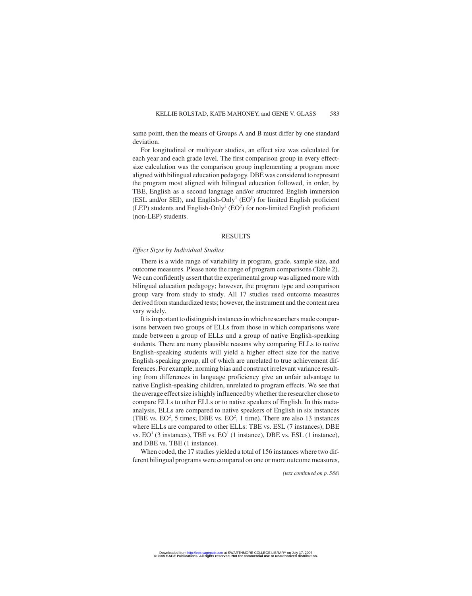same point, then the means of Groups A and B must differ by one standard deviation.

For longitudinal or multiyear studies, an effect size was calculated for each year and each grade level. The first comparison group in every effectsize calculation was the comparison group implementing a program more aligned with bilingual education pedagogy. DBE was considered to represent the program most aligned with bilingual education followed, in order, by TBE, English as a second language and/or structured English immersion (ESL and/or SEI), and English-Only<sup>1</sup> (EO<sup>1</sup>) for limited English proficient (LEP) students and English-Only<sup>2</sup> (EO<sup>2</sup>) for non-limited English proficient (non-LEP) students.

#### RESULTS

#### *Effect Sizes by Individual Studies*

There is a wide range of variability in program, grade, sample size, and outcome measures. Please note the range of program comparisons (Table 2). We can confidently assert that the experimental group was aligned more with bilingual education pedagogy; however, the program type and comparison group vary from study to study. All 17 studies used outcome measures derived from standardized tests; however, the instrument and the content area vary widely.

It is important to distinguish instances in which researchers made comparisons between two groups of ELLs from those in which comparisons were made between a group of ELLs and a group of native English-speaking students. There are many plausible reasons why comparing ELLs to native English-speaking students will yield a higher effect size for the native English-speaking group, all of which are unrelated to true achievement differences. For example, norming bias and construct irrelevant variance resulting from differences in language proficiency give an unfair advantage to native English-speaking children, unrelated to program effects. We see that the average effect size is highly influenced by whether the researcher chose to compare ELLs to other ELLs or to native speakers of English. In this metaanalysis, ELLs are compared to native speakers of English in six instances (TBE vs.  $EO^2$ , 5 times; DBE vs.  $EO^2$ , 1 time). There are also 13 instances where ELLs are compared to other ELLs: TBE vs. ESL (7 instances), DBE vs.  $EO<sup>1</sup>$  (3 instances), TBE vs.  $EO<sup>1</sup>$  (1 instance), DBE vs. ESL (1 instance), and DBE vs. TBE (1 instance).

When coded, the 17 studies yielded a total of 156 instances where two different bilingual programs were compared on one or more outcome measures,

*(text continued on p. 588)*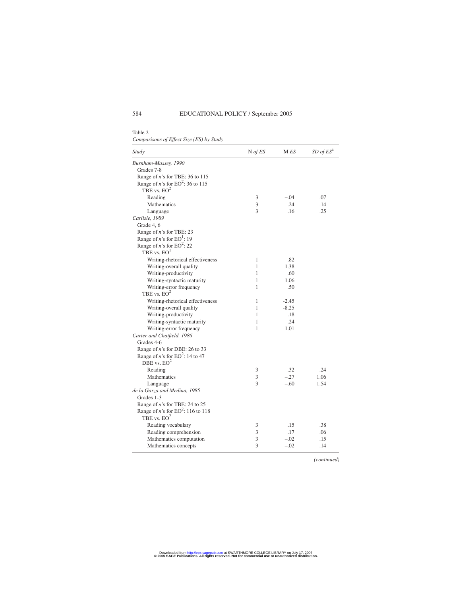Table 2 *Comparisons of Effect Size (ES) by Study*

| Study                                        | $N$ of ES | M ES    | $SD$ of $ESa$ |
|----------------------------------------------|-----------|---------|---------------|
| Burnham-Massey, 1990                         |           |         |               |
| Grades 7-8                                   |           |         |               |
| Range of $n$ 's for TBE: 36 to 115           |           |         |               |
| Range of <i>n</i> 's for $EO^2$ : 36 to 115  |           |         |               |
| TBE vs. $EO^2$                               |           |         |               |
| Reading                                      | 3         | $-.04$  | .07           |
| Mathematics                                  | 3         | .24     | .14           |
| Language                                     | 3         | .16     | .25           |
| Carlisle, 1989                               |           |         |               |
| Grade 4, 6                                   |           |         |               |
| Range of <i>n</i> 's for TBE: 23             |           |         |               |
| Range of <i>n</i> 's for $EO^1$ : 19         |           |         |               |
| Range of <i>n</i> 's for $EO^2$ : 22         |           |         |               |
| TBE vs. $EO1$                                |           |         |               |
| Writing-rhetorical effectiveness             | 1         | .82     |               |
| Writing-overall quality                      | 1         | 1.38    |               |
| Writing-productivity                         | 1         | .60     |               |
| Writing-syntactic maturity                   | 1         | 1.06    |               |
| Writing-error frequency                      | 1         | .50     |               |
| TBE vs. $EO^2$                               |           |         |               |
| Writing-rhetorical effectiveness             | 1         | $-2.45$ |               |
| Writing-overall quality                      | 1         | $-8.25$ |               |
| Writing-productivity                         | 1         | .18     |               |
| Writing-syntactic maturity                   | 1         | .24     |               |
| Writing-error frequency                      | 1         | 1.01    |               |
| Carter and Chatfield, 1986                   |           |         |               |
| Grades 4-6                                   |           |         |               |
| Range of $n$ 's for DBE: 26 to 33            |           |         |               |
| Range of <i>n</i> 's for $EO^2$ : 14 to 47   |           |         |               |
| DBE vs. $EO2$                                |           |         |               |
| Reading                                      | 3         | .32     | .24           |
| Mathematics                                  | 3         | $-.27$  | 1.06          |
| Language                                     | 3         | $-.60$  | 1.54          |
| de la Garza and Medina, 1985                 |           |         |               |
| Grades 1-3                                   |           |         |               |
| Range of n's for TBE: 24 to 25               |           |         |               |
| Range of <i>n</i> 's for $EO^2$ : 116 to 118 |           |         |               |
| TBE vs. $EO^2$                               |           |         |               |
| Reading vocabulary                           | 3         | .15     | .38           |
| Reading comprehension                        | 3         | .17     | .06           |
| Mathematics computation                      | 3         | $-.02$  | .15           |
| Mathematics concepts                         | 3         | $-.02$  | .14           |

*(continued)*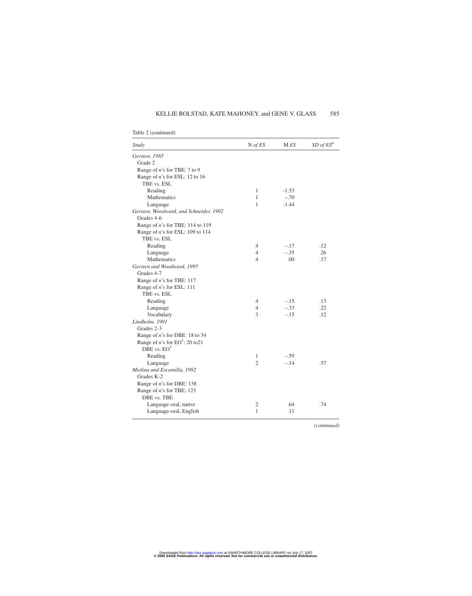### KELLIE ROLSTAD, KATE MAHONEY, and GENE V. GLASS 585

| Study                                      | $N$ of $ES$    | M ES    | $SD$ of $ESa$ |
|--------------------------------------------|----------------|---------|---------------|
| Gersten, 1985                              |                |         |               |
| Grade 2                                    |                |         |               |
| Range of $n$ 's for TBE: 7 to 9            |                |         |               |
| Range of <i>n</i> 's for ESL: 12 to 16     |                |         |               |
| TBE vs. ESL                                |                |         |               |
| Reading                                    | 1              | $-1.53$ |               |
| <b>Mathematics</b>                         | $\mathbf{1}$   | $-.70$  |               |
| Language                                   | 1              | $-1.44$ |               |
| Gersten, Woodward, and Schneider, 1992     |                |         |               |
| Grades 4-6                                 |                |         |               |
| Range of <i>n</i> 's for TBE: 114 to 119   |                |         |               |
| Range of <i>n</i> 's for ESL: 109 to 114   |                |         |               |
| TBE vs. ESL                                |                |         |               |
| Reading                                    | 4              | $-.17$  | .12           |
| Language                                   | 4              | $-.35$  | .26           |
| Mathematics                                | $\overline{4}$ | .00     | .17           |
| Gersten and Woodward, 1995                 |                |         |               |
| Grades 4-7                                 |                |         |               |
| Range of n's for TBE: 117                  |                |         |               |
| Range of <i>n</i> 's for ESL: 111          |                |         |               |
| TBE vs. ESL                                |                |         |               |
| Reading                                    | 4              | $-.15$  | .13           |
| Language                                   | $\overline{4}$ | $-.33$  | .22           |
| Vocabulary                                 | 3              | $-.15$  | .12           |
| Lindholm, 1991                             |                |         |               |
| Grades 2-3                                 |                |         |               |
| Range of $n$ 's for DBE: 18 to 34          |                |         |               |
| Range of <i>n</i> 's for $EO^1$ : 20 to 21 |                |         |               |
| $DBE$ vs. $EO1$                            |                |         |               |
| Reading                                    | 1              | $-.59$  |               |
| Language                                   | $\overline{c}$ | $-.14$  | .57           |
| Medina and Escamilla, 1992                 |                |         |               |
| Grades K-2                                 |                |         |               |
| Range of n's for DBE: 138                  |                |         |               |
| Range of <i>n</i> 's for TBE: 123          |                |         |               |
| DBE vs. TBE                                |                |         |               |
| Language-oral, native                      | 2              | .64     | .74           |
| Language-oral, English                     | $\mathbf{1}$   | .11     |               |
|                                            |                |         |               |

Table 2 (continued)

*(continued)*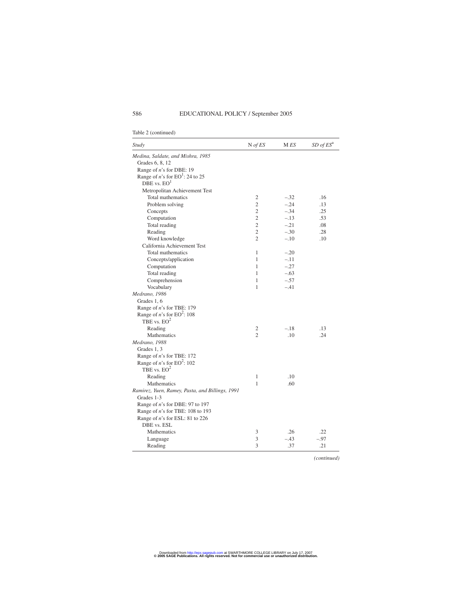| Study                                           | $N$ of $ES$    | M ES   | $SD$ of $ESa$ |  |
|-------------------------------------------------|----------------|--------|---------------|--|
| Medina, Saldate, and Mishra, 1985               |                |        |               |  |
| Grades 6, 8, 12                                 |                |        |               |  |
| Range of n's for DBE: 19                        |                |        |               |  |
| Range of <i>n</i> 's for $EO^1$ : 24 to 25      |                |        |               |  |
| DBE vs. $EO1$                                   |                |        |               |  |
| Metropolitan Achievement Test                   |                |        |               |  |
| Total mathematics                               | 2              | $-.32$ | .16           |  |
| Problem solving                                 | $\overline{c}$ | $-.24$ | .13           |  |
| Concepts                                        | $\overline{c}$ | $-.34$ | .25           |  |
| Computation                                     | $\overline{c}$ | $-.13$ | .53           |  |
| Total reading                                   | $\mathfrak{2}$ | $-.21$ | .08           |  |
| Reading                                         | $\overline{c}$ | $-.30$ | .28           |  |
| Word knowledge                                  | $\overline{c}$ | $-.10$ | .10           |  |
| California Achievement Test                     |                |        |               |  |
| Total mathematics                               | 1              | $-.20$ |               |  |
| Concepts/application                            | 1              | $-.11$ |               |  |
| Computation                                     | 1              | $-.27$ |               |  |
| Total reading                                   | 1              | $-.63$ |               |  |
| Comprehension                                   | 1              | $-.57$ |               |  |
| Vocabulary                                      | 1              | $-.41$ |               |  |
| Medrano, 1986                                   |                |        |               |  |
| Grades 1, 6                                     |                |        |               |  |
| Range of <i>n</i> 's for TBE: 179               |                |        |               |  |
| Range of <i>n</i> 's for $EO^2$ : 108           |                |        |               |  |
| TBE vs. $EO^2$                                  |                |        |               |  |
| Reading                                         | $\mathfrak{2}$ | $-.18$ | .13           |  |
| Mathematics                                     | $\overline{c}$ | .10    | .24           |  |
| Medrano, 1988                                   |                |        |               |  |
| Grades 1, 3                                     |                |        |               |  |
| Range of <i>n</i> 's for TBE: 172               |                |        |               |  |
| Range of <i>n</i> 's for $EO^2$ : 102           |                |        |               |  |
| TBE vs. $EO^2$                                  |                |        |               |  |
| Reading                                         | $\mathbf{1}$   | .10    |               |  |
| Mathematics                                     | $\mathbf{1}$   | .60    |               |  |
| Ramirez, Yuen, Ramey, Pasta, and Billings, 1991 |                |        |               |  |
| Grades 1-3                                      |                |        |               |  |
| Range of n's for DBE: 97 to 197                 |                |        |               |  |
| Range of <i>n</i> 's for TBE: 108 to 193        |                |        |               |  |
| Range of n's for ESL: 81 to 226                 |                |        |               |  |
| DBE vs. ESL                                     |                |        |               |  |
| Mathematics                                     | 3              | .26    | .22           |  |
| Language                                        | 3              | $-.43$ | $-.97$        |  |
| Reading                                         | 3              | .37    | .21           |  |

Table 2 (continued)

*(continued)*

**© 2005 SAGE Publications. All rights reserved. Not for commercial use or unauthorized distribution.** Downloaded from [http://epx.sagepub.com a](http://epx.sagepub.com)t SWARTHMORE COLLEGE LIBRARY on July 17, 2007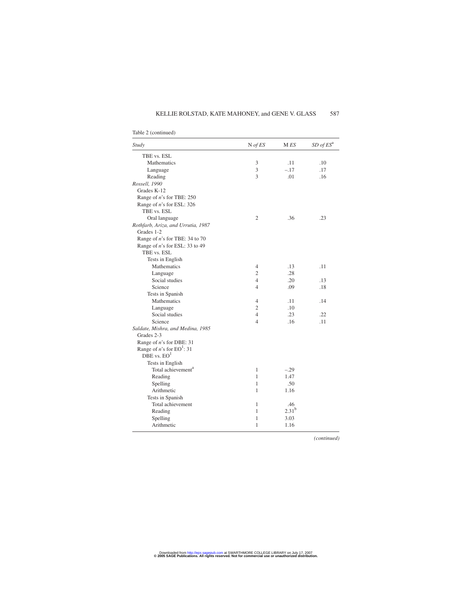### KELLIE ROLSTAD, KATE MAHONEY, and GENE V. GLASS 587

| Study                                  | $N$ of $ES$              | M ES       | $SD$ of $ESa$ |
|----------------------------------------|--------------------------|------------|---------------|
| TBE vs. ESL                            |                          |            |               |
| Mathematics                            | 3                        | .11        | .10           |
| Language                               | 3                        | $-.17$     | .17           |
| Reading                                | 3                        | .01        | .16           |
| Rossell, 1990                          |                          |            |               |
| Grades K-12                            |                          |            |               |
| Range of $n$ 's for TBE: 250           |                          |            |               |
| Range of $n$ 's for ESL: 326           |                          |            |               |
| TBE vs. ESL                            |                          |            |               |
| Oral language                          | $\mathfrak{2}$           | .36        | .23           |
| Rothfarb, Ariza, and Urrutia, 1987     |                          |            |               |
| Grades 1-2                             |                          |            |               |
| Range of $n$ 's for TBE: 34 to 70      |                          |            |               |
| Range of <i>n</i> 's for ESL: 33 to 49 |                          |            |               |
| TBE vs. ESL                            |                          |            |               |
| Tests in English                       |                          |            |               |
| Mathematics                            | 4                        | .13        | .11           |
| Language                               | $\overline{c}$           | .28        |               |
| Social studies                         | 4                        | .20        | .13           |
| Science                                | $\overline{4}$           | .09        | .18           |
| Tests in Spanish                       |                          |            |               |
| Mathematics                            | 4                        | .11        | .14           |
| Language                               | 2                        | .10        |               |
| Social studies                         | $\overline{4}$           | .23        | .22           |
| Science                                | $\overline{\mathcal{L}}$ | .16        | .11           |
| Saldate, Mishra, and Medina, 1985      |                          |            |               |
| Grades 2-3                             |                          |            |               |
| Range of $n$ 's for DBE: 31            |                          |            |               |
| Range of <i>n</i> 's for $EO^1$ : 31   |                          |            |               |
| DBE vs. $EO1$                          |                          |            |               |
| Tests in English                       |                          |            |               |
| Total achievement <sup>a</sup>         | 1                        | $-.29$     |               |
| Reading                                | 1                        | 1.47       |               |
| Spelling                               | 1                        | .50        |               |
| Arithmetic                             | 1                        | 1.16       |               |
| Tests in Spanish                       |                          |            |               |
| Total achievement                      | 1                        | .46        |               |
| Reading                                | 1                        | $2.31^{b}$ |               |
| Spelling                               | 1                        | 3.03       |               |
| Arithmetic                             | 1                        | 1.16       |               |
|                                        |                          |            |               |

### Table 2 (continued)

*(continued)*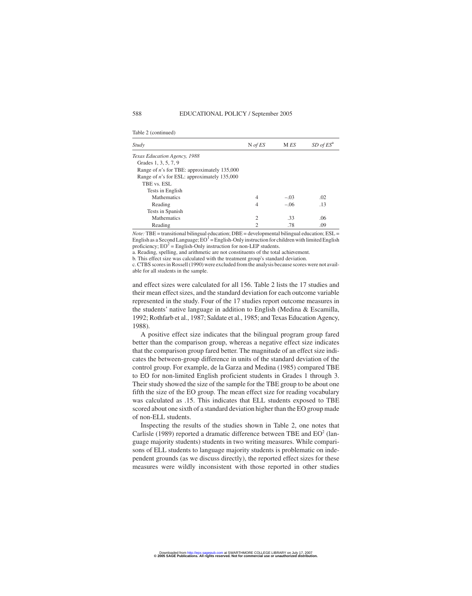| Study                                                 | $N$ of ES                   | M ES   | $SD$ of $ESa$ |
|-------------------------------------------------------|-----------------------------|--------|---------------|
| Texas Education Agency, 1988                          |                             |        |               |
| Grades 1, 3, 5, 7, 9                                  |                             |        |               |
| Range of <i>n</i> 's for TBE: approximately $135,000$ |                             |        |               |
| Range of <i>n</i> 's for ESL: approximately 135,000   |                             |        |               |
| TBE vs. ESL                                           |                             |        |               |
| Tests in English                                      |                             |        |               |
| <b>Mathematics</b>                                    | 4                           | $-.03$ | .02           |
| Reading                                               | 4                           | $-.06$ | .13           |
| Tests in Spanish                                      |                             |        |               |
| <b>Mathematics</b>                                    | $\mathcal{D}_{\mathcal{L}}$ | .33    | .06           |
| Reading                                               |                             | .78    | .09           |

*Note:* TBE = transitional bilingual education; DBE = developmental bilingual education; ESL = English as a Second Language;  $EO<sup>1</sup> = English-Only instruction for children with limited English$ proficiency;  $EO^2 = English-Only$  instruction for non-LEP students.

a. Reading, spelling, and arithmetic are not constituents of the total achievement.

b. This effect size was calculated with the treatment group's standard deviation.

c. CTBS scores in Rossell (1990) were excluded from the analysis because scores were not available for all students in the sample.

and effect sizes were calculated for all 156. Table 2 lists the 17 studies and their mean effect sizes, and the standard deviation for each outcome variable represented in the study. Four of the 17 studies report outcome measures in the students' native language in addition to English (Medina & Escamilla, 1992; Rothfarb et al., 1987; Saldate et al., 1985; and Texas Education Agency, 1988).

A positive effect size indicates that the bilingual program group fared better than the comparison group, whereas a negative effect size indicates that the comparison group fared better. The magnitude of an effect size indicates the between-group difference in units of the standard deviation of the control group. For example, de la Garza and Medina (1985) compared TBE to EO for non-limited English proficient students in Grades 1 through 3. Their study showed the size of the sample for the TBE group to be about one fifth the size of the EO group. The mean effect size for reading vocabulary was calculated as .15. This indicates that ELL students exposed to TBE scored about one sixth of a standard deviation higher than the EO group made of non-ELL students.

Inspecting the results of the studies shown in Table 2, one notes that Carlisle (1989) reported a dramatic difference between TBE and  $EO<sup>2</sup>$  (language majority students) students in two writing measures. While comparisons of ELL students to language majority students is problematic on independent grounds (as we discuss directly), the reported effect sizes for these measures were wildly inconsistent with those reported in other studies

Table 2 (continued)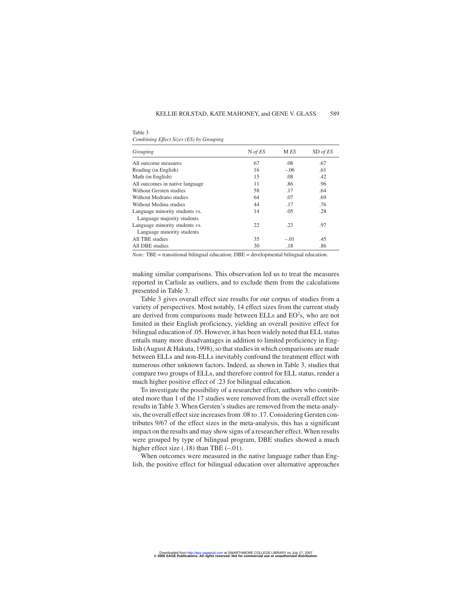| Table 3                                 |  |
|-----------------------------------------|--|
| Combining Effect Sizes (ES) by Grouping |  |

| Grouping                        | $N$ of ES | M ES   | SD of ES |
|---------------------------------|-----------|--------|----------|
| All outcome measures            | 67        | .08    | .67      |
| Reading (in English)            | 16        | $-.06$ | .61      |
| Math (in English)               | 15        | .08    | .42      |
| All outcomes in native language | 11        | .86    | .96      |
| Without Gersten studies         | 58        | .17    | .64      |
| Without Medrano studies         | 64        | .07    | .69      |
| Without Medina studies          | 44        | .17    | .76      |
| Language minority students vs.  | 14        | .05    | .28      |
| Language majority students      |           |        |          |
| Language minority students vs.  | 22        | .23    | .97      |
| Language minority students      |           |        |          |
| All TBE studies                 | 35        | $-.01$ | .45      |
| All DBE studies                 | 30        | .18    | .86      |

*Note:* TBE = transitional bilingual education; DBE = developmental bilingual education.

making similar comparisons. This observation led us to treat the measures reported in Carlisle as outliers, and to exclude them from the calculations presented in Table 3.

Table 3 gives overall effect size results for our corpus of studies from a variety of perspectives. Most notably, 14 effect sizes from the current study are derived from comparisons made between ELLs and  $EO<sup>2</sup>$ s, who are not limited in their English proficiency, yielding an overall positive effect for bilingual education of .05. However, it has been widely noted that ELL status entails many more disadvantages in addition to limited proficiency in English (August & Hakuta, 1998), so that studies in which comparisons are made between ELLs and non-ELLs inevitably confound the treatment effect with numerous other unknown factors. Indeed, as shown in Table 3, studies that compare two groups of ELLs, and therefore control for ELL status, render a much higher positive effect of .23 for bilingual education.

To investigate the possibility of a researcher effect, authors who contributed more than 1 of the 17 studies were removed from the overall effect size results in Table 3. When Gersten's studies are removed from the meta-analysis, the overall effect size increases from .08 to .17. Considering Gersten contributes 9/67 of the effect sizes in the meta-analysis, this has a significant impact on the results and may show signs of a researcher effect. When results were grouped by type of bilingual program, DBE studies showed a much higher effect size  $(.18)$  than TBE  $(-.01)$ .

When outcomes were measured in the native language rather than English, the positive effect for bilingual education over alternative approaches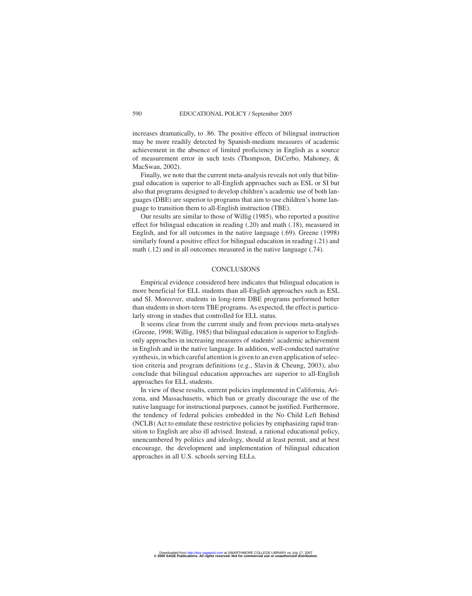increases dramatically, to .86. The positive effects of bilingual instruction may be more readily detected by Spanish-medium measures of academic achievement in the absence of limited proficiency in English as a source of measurement error in such tests (Thompson, DiCerbo, Mahoney, & MacSwan, 2002).

Finally, we note that the current meta-analysis reveals not only that bilingual education is superior to all-English approaches such as ESL or SI but also that programs designed to develop children's academic use of both languages (DBE) are superior to programs that aim to use children's home language to transition them to all-English instruction (TBE).

Our results are similar to those of Willig (1985), who reported a positive effect for bilingual education in reading (.20) and math (.18), measured in English, and for all outcomes in the native language (.69). Greene (1998) similarly found a positive effect for bilingual education in reading (.21) and math (.12) and in all outcomes measured in the native language (.74).

#### **CONCLUSIONS**

Empirical evidence considered here indicates that bilingual education is more beneficial for ELL students than all-English approaches such as ESL and SI. Moreover, students in long-term DBE programs performed better than students in short-term TBE programs. As expected, the effect is particularly strong in studies that controlled for ELL status.

It seems clear from the current study and from previous meta-analyses (Greene, 1998; Willig, 1985) that bilingual education is superior to Englishonly approaches in increasing measures of students' academic achievement in English and in the native language. In addition, well-conducted narrative synthesis, in which careful attention is given to an even application of selection criteria and program definitions (e.g., Slavin & Cheung, 2003), also conclude that bilingual education approaches are superior to all-English approaches for ELL students.

In view of these results, current policies implemented in California, Arizona, and Massachusetts, which ban or greatly discourage the use of the native language for instructional purposes, cannot be justified. Furthermore, the tendency of federal policies embedded in the No Child Left Behind (NCLB) Act to emulate these restrictive policies by emphasizing rapid transition to English are also ill advised. Instead, a rational educational policy, unencumbered by politics and ideology, should at least permit, and at best encourage, the development and implementation of bilingual education approaches in all U.S. schools serving ELLs.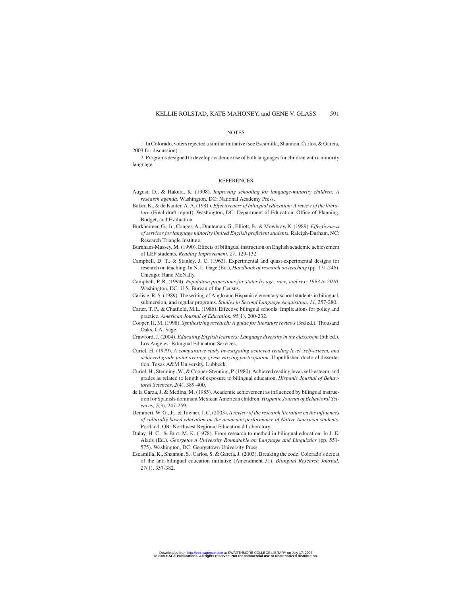#### **NOTES**

1. In Colorado, voters rejected a similar initiative (see Escamilla, Shannon, Carlos, & Garcia, 2003 for discussion).

2. Programs designed to develop academic use of both languages for children with a minority language.

#### REFERENCES

- August, D., & Hakuta, K. (1998). *Improving schooling for language-minority children: A research agenda*. Washington, DC: National Academy Press.
- Baker, K., & de Kanter, A. A. (1981).*Effectiveness of bilingual education: A review of the literature* (Final draft report). Washington, DC: Department of Education, Office of Planning, Budget, and Evaluation.
- Burkheimer, G., Jr., Conger, A., Dunteman, G., Elliott, B., & Mowbray, K. (1989). *Effectiveness of services for language minority limited English proficient students*. Raleigh-Durham, NC: Research Triangle Institute.
- Burnham-Massey, M. (1990). Effects of bilingual instruction on English academic achievement of LEP students. *Reading Improvement*, *27*, 129-132.
- Campbell, D. T., & Stanley, J. C. (1963). Experimental and quasi-experimental designs for research on teaching. In N. L. Gage (Ed.), *Handbook of research on teaching* (pp. 171-246). Chicago: Rand McNally.
- Campbell, P. R. (1994). *Population projections for states by age, race, and sex: 1993 to 2020*. Washington, DC: U.S. Bureau of the Census.
- Carlisle, R. S. (1989). The writing of Anglo and Hispanic elementary school students in bilingual, submersion, and regular programs. *Studies in Second Language Acquisition*, *11*, 257-280.
- Carter, T. P., & Chatfield, M.L. (1986). Effective bilingual schools: Implications for policy and practice. *American Journal of Education*, *95*(1), 200-232.
- Cooper, H. M. (1998). *Synthesizing research: A guide for literature reviews* (3rd ed.). Thousand Oaks, CA: Sage.
- Crawford, J. (2004). *Educating English learners: Language diversity in the classroom* (5th ed.). Los Angeles: Bilingual Education Services.
- Curiel, H. (1979). *A comparative study investigating achieved reading level, self-esteem, and achieved grade point average given varying participation.* Unpublished doctoral dissertation, Texas A&M University, Lubbock.
- Curiel, H., Stenning, W., & Cooper-Stenning, P. (1980). Achieved reading level, self-esteem, and grades as related to length of exposure to bilingual education. *Hispanic Journal of Behavioral Sciences*, *2*(4), 389-400.
- de la Garza, J. & Medina, M. (1985). Academic achievement as influenced by bilingual instruction for Spanish-dominant Mexican American children. *Hispanic Journal of Behavioral Sciences*, *7*(3), 247-259.
- Demmert, W. G., Jr., & Towner, J. C. (2003). *A review of the research literature on the influences of culturally based education on the academic performance of Native American students*. Portland, OR: Northwest Regional Educational Laboratory.
- Dulay, H. C., & Burt, M. K. (1978). From research to method in bilingual education. In J. E. Alatis (Ed.), *Georgetown University Roundtable on Language and Linguistics* (pp. 551- 575). Washington, DC: Georgetown University Press.
- Escamilla, K., Shannon, S., Carlos, S. & García, J. (2003). Breaking the code: Colorado's defeat of the anti-bilingual education initiative (Amendment 31). *Bilingual Research Journal*, *27*(1), 357-382.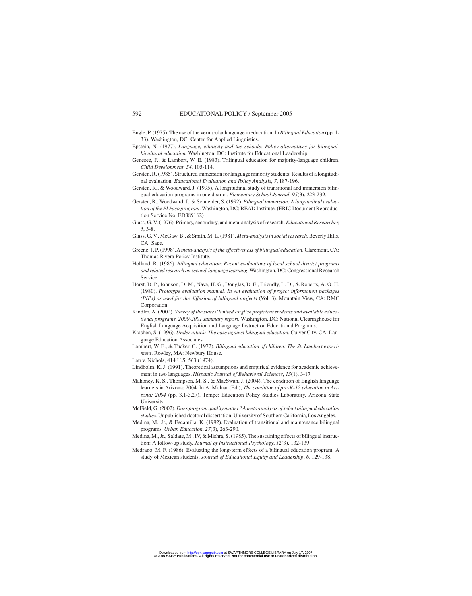- Engle, P. (1975). The use of the vernacular language in education. In *Bilingual Education* (pp. 1- 33). Washington, DC: Center for Applied Linguistics.
- Epstein, N. (1977). *Language, ethnicity and the schools: Policy alternatives for bilingualbicultural education*. Washington, DC: Institute for Educational Leadership.
- Genesee, F., & Lambert, W. E. (1983). Trilingual education for majority-language children. *Child Development*, *54*, 105-114.
- Gersten, R. (1985). Structured immersion for language minority students: Results of a longitudinal evaluation. *Educational Evaluation and Policy Analysis*, *7*, 187-196.
- Gersten, R., & Woodward, J. (1995). A longitudinal study of transitional and immersion bilingual education programs in one district. *Elementary School Journal*, *95*(3), 223-239.
- Gersten, R., Woodward, J., & Schneider, S. (1992). *Bilingual immersion: A longitudinal evaluation of the El Paso program*. Washington, DC: READ Institute. (ERIC Document Reproduction Service No. ED389162)
- Glass, G. V. (1976). Primary, secondary, and meta-analysis of research. *Educational Researcher*, *5*, 3-8.
- Glass, G. V., McGaw, B., & Smith, M. L. (1981).*Meta-analysis in social research*. Beverly Hills, CA: Sage.
- Greene, J. P. (1998). *A meta-analysis of the effectiveness of bilingual education*. Claremont, CA: Thomas Rivera Policy Institute.
- Holland, R. (1986). *Bilingual education: Recent evaluations of local school district programs and related research on second-language learning*. Washington, DC: Congressional Research Service.
- Horst, D. P., Johnson, D. M., Nava, H. G., Douglas, D. E., Friendly, L. D., & Roberts, A. O. H. (1980). *Prototype evaluation manual. In An evaluation of project information packages (PIPs) as used for the diffusion of bilingual projects* (Vol. 3). Mountain View, CA: RMC Corporation.
- Kindler, A. (2002). *Survey of the states'limited English proficient students and available educational programs, 2000-2001 summary report*. Washington, DC: National Clearinghouse for English Language Acquisition and Language Instruction Educational Programs.
- Krashen, S. (1996). *Under attack: The case against bilingual education*. Culver City, CA: Language Education Associates.
- Lambert, W. E., & Tucker, G. (1972). *Bilingual education of children: The St. Lambert experiment*. Rowley, MA: Newbury House.
- Lau v. Nichols, 414 U.S. 563 (1974).
- Lindholm, K. J. (1991). Theoretical assumptions and empirical evidence for academic achievement in two languages. *Hispanic Journal of Behavioral Sciences*, *13*(1), 3-17.
- Mahoney, K. S., Thompson, M. S., & MacSwan, J. (2004). The condition of English language learners in Arizona: 2004. In A. Molnar (Ed.), *The condition of pre-K-12 education in Arizona: 2004* (pp. 3.1-3.27). Tempe: Education Policy Studies Laboratory, Arizona State University.
- McField, G. (2002).*Does program quality matter? A meta-analysis of select bilingual education studies*. Unpublished doctoral dissertation, University of Southern California, Los Angeles.
- Medina, M., Jr., & Escamilla, K. (1992). Evaluation of transitional and maintenance bilingual programs. *Urban Education*, *27*(3), 263-290.
- Medina, M., Jr., Saldate, M., IV, & Mishra, S. (1985). The sustaining effects of bilingual instruction: A follow-up study. *Journal of Instructional Psychology*, *12*(3), 132-139.
- Medrano, M. F. (1986). Evaluating the long-term effects of a bilingual education program: A study of Mexican students. *Journal of Educational Equity and Leadership*, *6*, 129-138.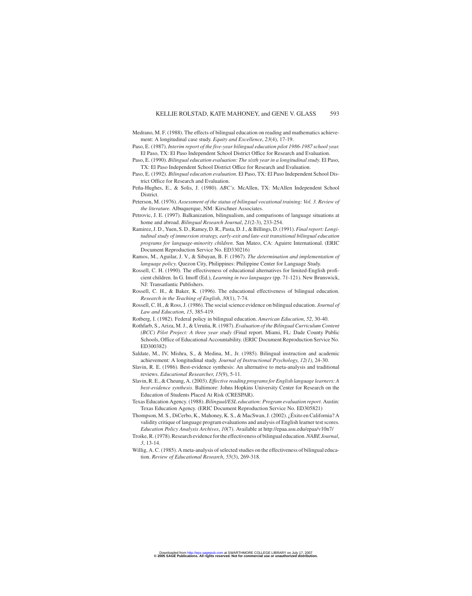- Medrano, M. F. (1988). The effects of bilingual education on reading and mathematics achievement: A longitudinal case study. *Equity and Excellence*, *23*(4), 17-19.
- Paso, E. (1987). *Interim report of the five-year bilingual education pilot 1986-1987 school year*. El Paso, TX: El Paso Independent School District Office for Research and Evaluation.
- Paso, E. (1990). *Bilingual education evaluation: The sixth year in a longitudinal study*. El Paso, TX: El Paso Independent School District Office for Research and Evaluation.
- Paso, E. (1992). *Bilingual education evaluation*. El Paso, TX: El Paso Independent School District Office for Research and Evaluation.
- Peña-Hughes, E., & Solis, J. (1980). *ABC's*. McAllen, TX: McAllen Independent School District.
- Peterson, M. (1976). *Assessment of the status of bilingual vocational training: Vol. 3. Review of the literature*. Albuquerque, NM: Kirschner Associates.
- Petrovic, J. E. (1997). Balkanization, bilingualism, and comparisons of language situations at home and abroad. *Bilingual Research Journal*, *21*(2-3), 233-254.
- Ramirez, J. D., Yuen, S. D., Ramey, D. R., Pasta, D. J., & Billings, D. (1991).*Final report: Longitudinal study of immersion strategy, early-exit and late-exit transitional bilingual education programs for language-minority children*. San Mateo, CA: Aguirre International. (ERIC Document Reproduction Service No. ED330216)
- Ramos, M., Aguilar, J. V., & Sibayan, B. F. (1967). *The determination and implementation of language policy*. Quezon City, Philippines: Philippine Center for Language Study.
- Rossell, C. H. (1990). The effectiveness of educational alternatives for limited-English proficient children. In G. Imoff (Ed.), *Learning in two languages* (pp. 71-121). New Brunswick, NJ: Transatlantic Publishers.
- Rossell, C. H., & Baker, K. (1996). The educational effectiveness of bilingual education. *Research in the Teaching of English*, *30*(1), 7-74.
- Rossell, C. H., & Ross, J. (1986). The social science evidence on bilingual education. *Journal of Law and Education*, *15*, 385-419.
- Rotberg, I. (1982). Federal policy in bilingual education. *American Education*, *52*, 30-40.
- Rothfarb, S., Ariza, M. J., & Urrutia, R. (1987). *Evaluation of the Bilingual Curriculum Content (BCC) Pilot Project: A three year study* (Final report. Miami, FL: Dade County Public Schools, Office of Educational Accountability. (ERIC Document Reproduction Service No. ED300382)
- Saldate, M., IV, Mishra, S., & Medina, M., Jr. (1985). Bilingual instruction and academic achievement: A longitudinal study. *Journal of Instructional Psychology*, *12(1)*, 24-30.
- Slavin, R. E. (1986). Best-evidence synthesis: An alternative to meta-analysis and traditional reviews. *Educational Researcher*, *15*(9), 5-11.
- Slavin, R. E., & Cheung, A. (2003).*Effective reading programs for English language learners: A best-evidence synthesis*. Baltimore: Johns Hopkins University Center for Research on the Education of Students Placed At Risk (CRESPAR).
- Texas Education Agency. (1988). *Bilingual/ESL education: Program evaluation report*. Austin: Texas Education Agency. (ERIC Document Reproduction Service No. ED305821)
- Thompson, M. S., DiCerbo, K., Mahoney, K. S., & MacSwan, J. (2002). ¿Éxito en California? A validity critique of language program evaluations and analysis of English learner test scores. *Education Policy Analysis Archives*, *10*(7). Available at http://epaa.asu.edu/epaa/v10n7/
- Troike, R. (1978). Research evidence for the effectiveness of bilingual education.*NABE Journal*, *3*, 13-14.
- Willig, A. C. (1985). A meta-analysis of selected studies on the effectiveness of bilingual education. *Review of Educational Research*, *55*(3), 269-318.